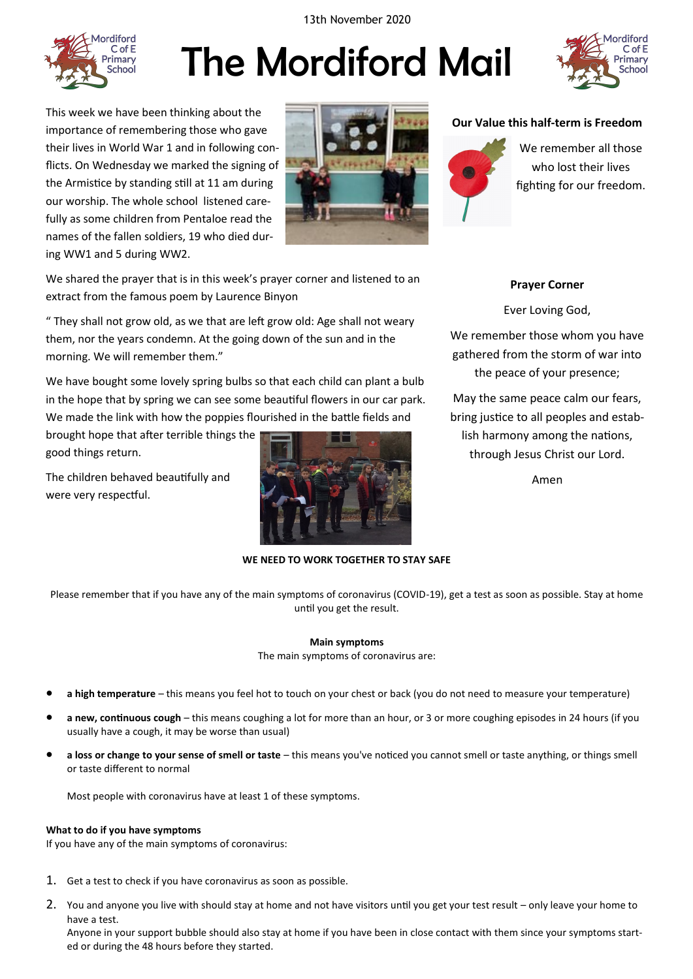13th November 2020



# The Mordiford Mail



This week we have been thinking about the importance of remembering those who gave their lives in World War 1 and in following conflicts. On Wednesday we marked the signing of the Armistice by standing still at 11 am during our worship. The whole school listened carefully as some children from Pentaloe read the names of the fallen soldiers, 19 who died during WW1 and 5 during WW2.



We shared the prayer that is in this week's prayer corner and listened to an extract from the famous poem by Laurence Binyon

" They shall not grow old, as we that are left grow old: Age shall not weary them, nor the years condemn. At the going down of the sun and in the morning. We will remember them."

We have bought some lovely spring bulbs so that each child can plant a bulb in the hope that by spring we can see some beautiful flowers in our car park. We made the link with how the poppies flourished in the battle fields and

brought hope that after terrible things the good things return.

The children behaved beautifully and were very respectful.



#### **WE NEED TO WORK TOGETHER TO STAY SAFE**

Please remember that if you have any of the main symptoms of coronavirus (COVID-19), get a test as soon as possible. Stay at home until you get the result.

## **Main symptoms** The main symptoms of coronavirus are:

- **a high temperature** this means you feel hot to touch on your chest or back (you do not need to measure your temperature)
- **a new, continuous cough** this means coughing a lot for more than an hour, or 3 or more coughing episodes in 24 hours (if you usually have a cough, it may be worse than usual)
- **a loss or change to your sense of smell or taste** this means you've noticed you cannot smell or taste anything, or things smell or taste different to normal

Most people with coronavirus have at least 1 of these symptoms.

#### **What to do if you have symptoms**

If you have any of the main symptoms of coronavirus:

- 1. Get a test to check if you have coronavirus as soon as possible.
- 2. You and anyone you live with should stay at home and not have visitors until you get your test result only leave your home to have a test.

Anyone in your support bubble should also stay at home if you have been in close contact with them since your symptoms started or during the 48 hours before they started.

#### **Our Value this half-term is Freedom**



We remember all those who lost their lives fighting for our freedom.

#### **Prayer Corner**

Ever Loving God,

We remember those whom you have gathered from the storm of war into the peace of your presence;

May the same peace calm our fears, bring justice to all peoples and establish harmony among the nations, through Jesus Christ our Lord.

Amen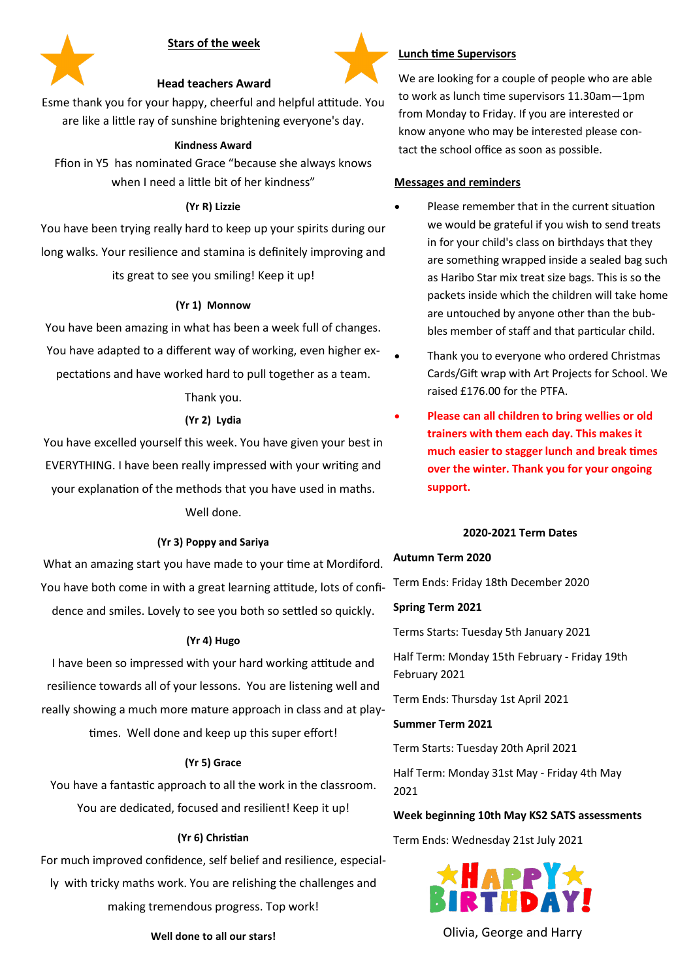



# **Lunch time Supervisors**

We are looking for a couple of people who are able to work as lunch time supervisors 11.30am—1pm from Monday to Friday. If you are interested or know anyone who may be interested please contact the school office as soon as possible.

## **Messages and reminders**

- Please remember that in the current situation we would be grateful if you wish to send treats in for your child's class on birthdays that they are something wrapped inside a sealed bag such as Haribo Star mix treat size bags. This is so the packets inside which the children will take home are untouched by anyone other than the bubbles member of staff and that particular child.
- Thank you to everyone who ordered Christmas Cards/Gift wrap with Art Projects for School. We raised £176.00 for the PTFA.
- **Please can all children to bring wellies or old trainers with them each day. This makes it much easier to stagger lunch and break times over the winter. Thank you for your ongoing support.**

#### **2020-2021 Term Dates**

#### **Autumn Term 2020**

Term Ends: Friday 18th December 2020

**Spring Term 2021** 

Terms Starts: Tuesday 5th January 2021

Half Term: Monday 15th February - Friday 19th February 2021

Term Ends: Thursday 1st April 2021

**Summer Term 2021** 

Term Starts: Tuesday 20th April 2021

Half Term: Monday 31st May - Friday 4th May 2021

#### **Week beginning 10th May KS2 SATS assessments**

Term Ends: Wednesday 21st July 2021



**Well done to all our stars!** New York Chivia, George and Harry

## **Head teachers Award**

Esme thank you for your happy, cheerful and helpful attitude. You are like a little ray of sunshine brightening everyone's day.

#### **Kindness Award**

Ffion in Y5 has nominated Grace "because she always knows when I need a little bit of her kindness"

#### **(Yr R) Lizzie**

You have been trying really hard to keep up your spirits during our long walks. Your resilience and stamina is definitely improving and its great to see you smiling! Keep it up!

#### **(Yr 1) Monnow**

You have been amazing in what has been a week full of changes. You have adapted to a different way of working, even higher ex-

pectations and have worked hard to pull together as a team.

#### Thank you.

#### **(Yr 2) Lydia**

You have excelled yourself this week. You have given your best in EVERYTHING. I have been really impressed with your writing and your explanation of the methods that you have used in maths. Well done.

# **(Yr 3) Poppy and Sariya**

What an amazing start you have made to your time at Mordiford. You have both come in with a great learning attitude, lots of confidence and smiles. Lovely to see you both so settled so quickly.

#### **(Yr 4) Hugo**

I have been so impressed with your hard working attitude and resilience towards all of your lessons. You are listening well and really showing a much more mature approach in class and at play-

times. Well done and keep up this super effort!

#### **(Yr 5) Grace**

You have a fantastic approach to all the work in the classroom. You are dedicated, focused and resilient! Keep it up!

#### **(Yr 6) Christian**

For much improved confidence, self belief and resilience, especially with tricky maths work. You are relishing the challenges and making tremendous progress. Top work!